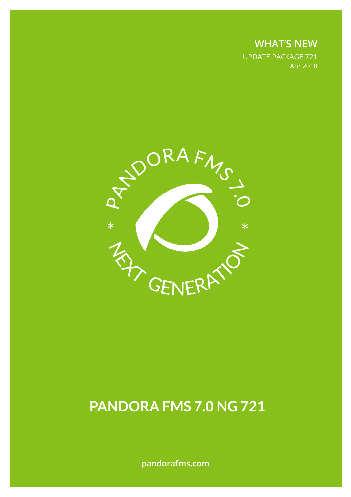**WHAT'S NEW** UPDATE PACKAGE 721 Apr 2018



# **PANDORA FMS 7.0 NG 721**

**pandorafms.com**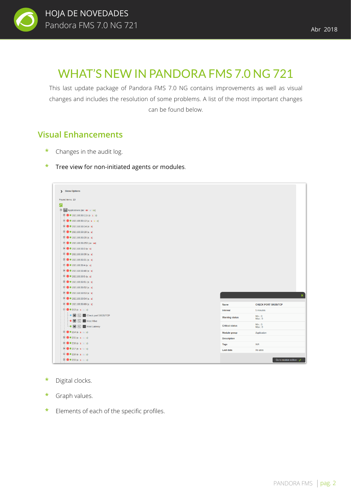

# WHAT'S NEW IN PANDORA FMS 7.0 NG 721

This last update package of Pandora FMS 7.0 NG contains improvements as well as visual changes and includes the resolution of some problems. A list of the most important changes can be found below.

### **Visual Enhancements**

- **\*** Changes in the audit log.
- **\*** Tree view for non-initiated agents or modules.

| Found items: 10                                                                                      |                        |                             |
|------------------------------------------------------------------------------------------------------|------------------------|-----------------------------|
| $\circ$                                                                                              |                        |                             |
| $\qquad \qquad \Box$ Applications (83 : 68 : 4 : 11)                                                 |                        |                             |
| $\Box$ 0 192.168.50.11b (3 : 1 : 2)                                                                  |                        |                             |
| $\Box$ 0 192.168.50.12 (4 : 1 : 1 : 2)                                                               |                        |                             |
| $\Box$ 0 192.168.50.14 (3:3)                                                                         |                        |                             |
| $\Box$ 0 192.168.50.18 (1 : 1)                                                                       |                        |                             |
| $\Box$ 0 192.168.50.20 (1 : 1)                                                                       |                        |                             |
| $\Box$ 0 192.168.50.253 (18:18)                                                                      |                        |                             |
| $\Box$ 0 192.168.50.3 (1 : 1)                                                                        |                        |                             |
| $\bigoplus$ 0 192.168.50.30 (1:1)                                                                    |                        |                             |
| $\bigoplus$ 0 192.168.50.31 (1:1)                                                                    |                        |                             |
| $\Box$ 0 192.168.50.4 (1:1)                                                                          |                        |                             |
| $\begin{array}{ c c c c }\n\hline\n\vdots\n\end{array}$ 0 192.168.50.40 (1 : 1)                      |                        |                             |
| $\Box$ 0 192.168.50.5 (1 : 1)                                                                        |                        |                             |
| $\Box$ 0 192.168.50.51 (1:1)                                                                         |                        |                             |
| $\Box$ 0 192.168.50.52 (1:1)                                                                         |                        |                             |
| $\Box$ 0 192.168.50.53 (1:1)                                                                         |                        |                             |
| $\Box$ 0 192.168.50.54 (1:1)                                                                         |                        |                             |
| $\Box$ 0 192.168.50.69 (1:1)                                                                         | <b>Name</b>            | <b>CHECK PORT 59535/TCP</b> |
| $\begin{array}{ c c c c c }\hline \cdots & \bullet & \bullet & 213 & (3:1:1:1)\\ \hline \end{array}$ | <b>Interval</b>        | 5 minutes                   |
| $\blacksquare$ $\blacksquare$ $\blacksquare$ Check port 59535/TCP                                    | <b>Warning status</b>  | Min.: 0                     |
| → ■ 図 Ⅲ Host Alive                                                                                   |                        | Max:0                       |
| Le 图 図   III Host Latency                                                                            | <b>Critical status</b> | Min.: 0<br>Max: 0           |
| $\Box$ 0 214 (3 : 1 : 1 : 1)                                                                         | Module group           | Application                 |
| $\mathbb{H}$ 0 215 (3 : 1 : 1 : 1)                                                                   | <b>Description</b>     |                             |
| $\Box$ 0 216 (3 : 1 : 1 : 1)                                                                         | <b>Tags</b>            | <b>N/A</b>                  |
| $\mathbb{H} \bullet 217(3:1:1:1)$                                                                    | <b>Last data</b>       | No data                     |
|                                                                                                      |                        |                             |
| $\mathbb{H} \bullet 218(3:1:1:1)$                                                                    |                        |                             |

- **Mejoras visuales \*** Digital clocks.
	- **\*** Graph values.
	- **\*** Elements of each of the specific profiles.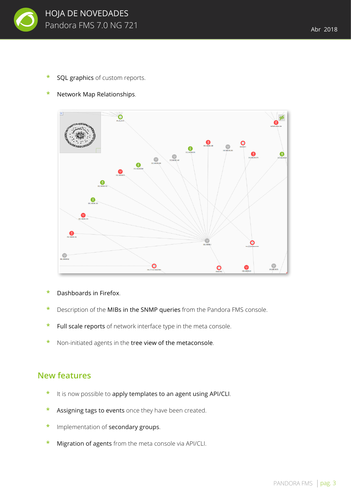

**SQL graphics** of custom reports.



**\*** Network Map Relationships.

- **\*** Dashboards in Firefox.
- **\*** Description of the MIBs in the SNMP queries from the Pandora FMS console.
- Full scale reports of network interface type in the meta console.
- **\*** Non-initiated agents in the tree view of the metaconsole.

#### **New features**

- **\*** It is now possible to apply templates to an agent using API/CLI.
- **\*** Assigning tags to events once they have been created.
- **\*** Implementation of secondary groups.
- **\*** Migration of agents from the meta console via API/CLI.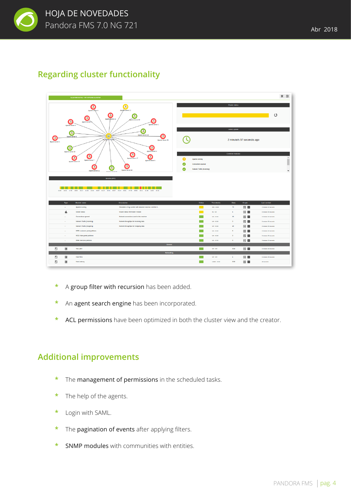

#### **Regarding cluster functionality**

|                      |                                                                                                                                                                                                                                                                                                                                                                                                                                                                                                                               | <b>CLUSTER DETAIL * MY APACHE CLUSTER</b> |                                                                                                                   |                                                                    |                |                   |                  |              |                                           | * 国 |
|----------------------|-------------------------------------------------------------------------------------------------------------------------------------------------------------------------------------------------------------------------------------------------------------------------------------------------------------------------------------------------------------------------------------------------------------------------------------------------------------------------------------------------------------------------------|-------------------------------------------|-------------------------------------------------------------------------------------------------------------------|--------------------------------------------------------------------|----------------|-------------------|------------------|--------------|-------------------------------------------|-----|
|                      | $\bullet$<br>$\bullet$<br>Apagle server 12<br>Apache server 8<br>$\bullet$<br>۵<br>۵<br>Apache server 13<br>bache server 10<br>$\bullet$<br>Q<br>Apache server<br>Apache server 2<br>Apache server 9<br>۵<br>۵<br>Apache server 16<br>⊕<br>Ø<br>Apache server<br>Medicate bases<br>Apache server 20<br>$\bullet$<br>۵<br>Apache server 4<br>Apache server 14<br>۵<br>ၜ<br>◉<br>۰<br>Apache server 17<br>Apache server 7<br>Apache server 5<br>Apache server 15<br>6<br>Θ<br>$\bullet$<br>Apache server 19<br>Apache server 11 |                                           | Cluster status<br>O                                                                                               |                                                                    |                |                   |                  |              |                                           |     |
| O<br>Apache server 1 |                                                                                                                                                                                                                                                                                                                                                                                                                                                                                                                               |                                           | <b>Latest update</b><br>2 minute/s 57 second/s ago                                                                |                                                                    |                |                   |                  |              |                                           |     |
|                      |                                                                                                                                                                                                                                                                                                                                                                                                                                                                                                                               |                                           |                                                                                                                   | Apache running<br>Connections opened<br>Network Traffic (Incoming) |                | Common modules    |                  |              | $\Delta$<br>I<br>$\overline{\phantom{a}}$ |     |
|                      |                                                                                                                                                                                                                                                                                                                                                                                                                                                                                                                               | Events (24h)<br>ш                         | 15:00 16:26 17:42 18:00 20:17 21:32 22:50 00:07 02:24 02:41 03:57 05:34 06:32 07:46 09:05 10:21 11:38 12:55 14:12 |                                                                    |                |                   |                  |              |                                           |     |
|                      | Type                                                                                                                                                                                                                                                                                                                                                                                                                                                                                                                          | Module name                               | Description                                                                                                       |                                                                    | <b>Status</b>  | <b>Thresholds</b> | Data             | Graph        | <b>Last contact</b>                       |     |
|                      | $\sim$                                                                                                                                                                                                                                                                                                                                                                                                                                                                                                                        | Apache running                            | Simulation of big number with absolute nosense, real like it                                                      |                                                                    |                | 050 - 0300        | 70               | <b>交</b>     | 3 minutes 02 seconds                      |     |
|                      | d.                                                                                                                                                                                                                                                                                                                                                                                                                                                                                                                            | Cluster status                            | Cluster status information module                                                                                 |                                                                    |                | $01 - 02$         | $\mathbf{1}$     | 因量           | 3 minutes 02 seconds                      |     |
|                      | $\mathbf{r}$                                                                                                                                                                                                                                                                                                                                                                                                                                                                                                                  | Connections opened                        | Network connections used in this machine                                                                          |                                                                    |                | NA - 0/100        | 15               | 図 ■          | 3 minutes 02 seconds                      |     |
|                      | $\sim$                                                                                                                                                                                                                                                                                                                                                                                                                                                                                                                        | Network Traffic (incoming)                | Network throughtput for incoming data                                                                             |                                                                    |                | NA - 0100         | $\bullet$        | <b>交</b> 104 | 3 minutes 02 seconds                      |     |
|                      | $\sim$                                                                                                                                                                                                                                                                                                                                                                                                                                                                                                                        | Network Traffic (Outgoing)                | Network throughtput for Outgoing data                                                                             |                                                                    |                | NA - 0/100        | 20               | 因 回          | 3 minutes 02 seconds                      |     |
|                      | $\sim$                                                                                                                                                                                                                                                                                                                                                                                                                                                                                                                        | WEB: customer portal petitions            |                                                                                                                   |                                                                    |                | NA - 0/100        | $\circ$          | ⊠ ■          | 3 minutes 02 seconds                      |     |
|                      | $\sim$                                                                                                                                                                                                                                                                                                                                                                                                                                                                                                                        | WEB: Main portal petitions                |                                                                                                                   |                                                                    |                | NA - 0/100        | $\bullet$        | 因量           | 3 minutes 02 seconds                      |     |
|                      | $\sim$                                                                                                                                                                                                                                                                                                                                                                                                                                                                                                                        | WEB: Services petitions                   |                                                                                                                   |                                                                    |                | NA - 0/100        | $\bullet$        | 安 134        | 3 minutes 02 seconds                      |     |
|                      |                                                                                                                                                                                                                                                                                                                                                                                                                                                                                                                               |                                           | General                                                                                                           |                                                                    |                |                   |                  |              |                                           |     |
| $\Box$               | $\blacksquare$                                                                                                                                                                                                                                                                                                                                                                                                                                                                                                                | Test_dani                                 |                                                                                                                   |                                                                    | <b>Talling</b> | NA-NA             | 0.03             | 図 皿          | 3 minutes 23 seconds                      |     |
|                      |                                                                                                                                                                                                                                                                                                                                                                                                                                                                                                                               |                                           | <b>Networking</b>                                                                                                 |                                                                    |                |                   |                  |              |                                           |     |
| $\Box$               | $\qquad \qquad \blacksquare$                                                                                                                                                                                                                                                                                                                                                                                                                                                                                                  | <b>Host Alive</b>                         |                                                                                                                   |                                                                    |                | NA-NA             | $\Delta$<br>0.04 | 因 回          | 1 minutes 20 seconds                      |     |
| $\Box$               | $\blacksquare$                                                                                                                                                                                                                                                                                                                                                                                                                                                                                                                | <b>Host Latency</b>                       |                                                                                                                   |                                                                    |                | 149/80 - 0/150    |                  | <b>交</b> 104 | 28 seconds                                |     |

- **\*** A group filter with recursion has been added.
- **\*** An agent search engine has been incorporated.
- **\*** ACL permissions have been optimized in both the cluster view and the creator.

#### **Additional improvements**

- **\*** The management of permissions in the scheduled tasks.
- **\*** The help of the agents.
- **\*** Login with SAML.
- **\*** The pagination of events after applying filters.
- **\*** SNMP modules with communities with entities.